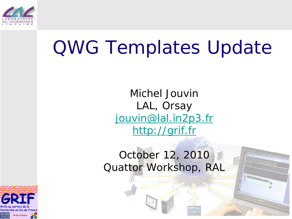

### QWG Templates Update

Michel Jouvin LAL, Orsay [jouvin@lal.in2p3.fr](mailto:jouvin@lal.in2p3.fr) [http://grif.fr](http://grif.fr/)

#### October 12, 2010 Quattor Workshop, RAL

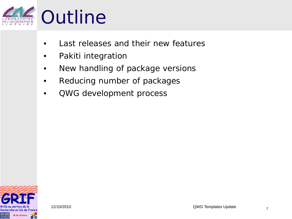

- Last releases and their new features
- Pakiti integration
- New handling of package versions
- Reducing number of packages
- QWG development process

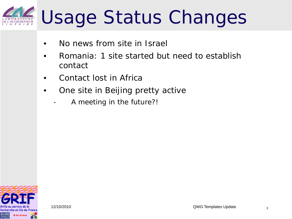#### Usage Status Changes CÉLÉRATEUR

- No news from site in Israel
- Romania: 1 site started but need to establish contact
- Contact lost in Africa
- One site in Beijing pretty active
	- A meeting in the future?!

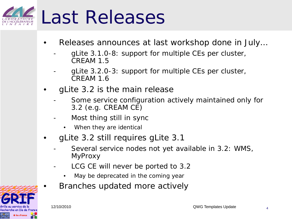

- Releases announces at last workshop done in July…
	- gLite 3.1.0-8: support for multiple CEs per cluster, CREAM 1.5
	- gLite 3.2.0-3: support for multiple CEs per cluster, CREAM 1.6
- gLite 3.2 is the main release
	- Some service configuration actively maintained only for 3.2 (e.g. CREAM CE)
	- Most thing still in sync
		- When they are identical
- gLite 3.2 still requires gLite 3.1
	- Several service nodes not yet available in 3.2: WMS, MyProxy
	- LCG CE will never be ported to 3.2
		- May be deprecated in the coming year
	- Branches updated more actively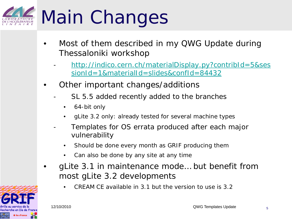## Main Changes

- Most of them described in my QWG Update during Thessaloniki workshop
	- [http://indico.cern.ch/materialDisplay.py?contribId=5&ses](http://indico.cern.ch/materialDisplay.py?contribId=5&sessionId=1&materialId=slides&confId=84432) [sionId=1&materialId=slides&confId=84432](http://indico.cern.ch/materialDisplay.py?contribId=5&sessionId=1&materialId=slides&confId=84432)
- Other important changes/additions
	- SL 5.5 added recently added to the branches
		- 64-bit only
		- gLite 3.2 only: already tested for several machine types
	- Templates for OS errata produced after each major vulnerability
		- Should be done every month as GRIF producing them
		- Can also be done by any site at any time
- gLite 3.1 in maintenance mode… but benefit from most gLite 3.2 developments
	- CREAM CE available in 3.1 but the version to use is 3.2

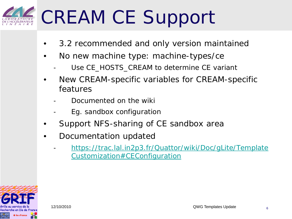### CREAM CE Support

- 3.2 recommended and only version maintained
- No new machine type: machine-types/ce
	- Use *CE\_HOSTS\_CREAM* to determine CE variant
- New CREAM-specific variables for CREAM-specific features
	- Documented on the wiki
	- Eg. sandbox configuration
- Support NFS-sharing of CE sandbox area
- Documentation updated
	- [https://trac.lal.in2p3.fr/Quattor/wiki/Doc/gLite/Template](https://trac.lal.in2p3.fr/Quattor/wiki/Doc/gLite/TemplateCustomization) [Customization#CEConfiguration](https://trac.lal.in2p3.fr/Quattor/wiki/Doc/gLite/TemplateCustomization)

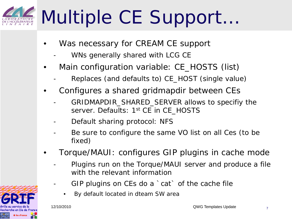## Multiple CE Support…

- Was necessary for CREAM CE support
	- WNs generally shared with LCG CE
- Main configuration variable: *CE\_HOSTS* (list)
	- Replaces (and defaults to) *CE\_HOST* (single value)
- Configures a shared gridmapdir between CEs
	- GRIDMAPDIR\_SHARED\_SERVER allows to specifiy the server. Defaults: 1st CE in *CE\_HOSTS*
	- Default sharing protocol: NFS
	- Be sure to configure the same VO list on all Ces (to be fixed)
- Torque/MAUI: configures GIP plugins in cache mode
	- Plugins run on the Torque/MAUI server and produce a file with the relevant information
	- GIP plugins on CEs do a 'cat' of the cache file
		- By default located in dteam SW area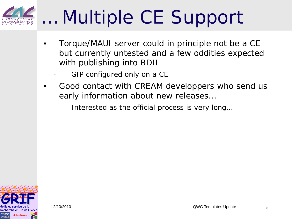

### … Multiple CE Support

- Torque/MAUI server could in principle not be a CE but currently untested and a few oddities expected with publishing into BDII
	- GIP configured only on a CE
- Good contact with CREAM developpers who send us early information about new releases…
	- Interested as the official process is very long...

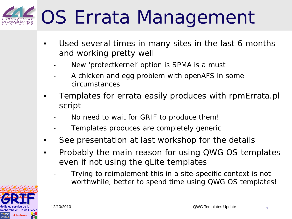## OS Errata Management

- Used several times in many sites in the last 6 months and working pretty well
	- New 'protectkernel' option is SPMA is a must
	- A chicken and egg problem with openAFS in some circumstances
- Templates for errata easily produces with rpmErrata.pl script
	- No need to wait for GRIF to produce them!
	- Templates produces are completely generic
- See presentation at last workshop for the details
- Probably the main reason for using QWG OS templates even if not using the gLite templates
	- Trying to reimplement this in a site-specific context is not worthwhile, better to spend time using QWG OS templates!

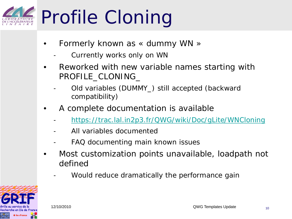## Profile Cloning

- Formerly known as « dummy WN »
	- Currently works only on WN
- Reworked with new variable names starting with *PROFILE\_CLONING\_*
	- Old variables *(DUMMY\_)* still accepted (backward compatibility)
- A complete documentation is available
	- <https://trac.lal.in2p3.fr/QWG/wiki/Doc/gLite/WNCloning>
	- All variables documented
	- FAQ documenting main known issues
- Most customization points unavailable, loadpath not defined
	- Would reduce dramatically the performance gain

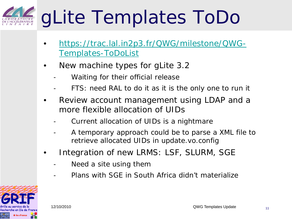### gLite Templates ToDo

- [https://trac.lal.in2p3.fr/QWG/milestone/QWG-](https://trac.lal.in2p3.fr/QWG/milestone/QWG-Templates-ToDoList)[Templates-ToDoList](https://trac.lal.in2p3.fr/QWG/milestone/QWG-Templates-ToDoList)
- New machine types for gLite 3.2
	- Waiting for their official release
	- FTS: need RAL to do it as it is the only one to run it
- Review account management using LDAP and a more flexible allocation of UIDs
	- Current allocation of UIDs is a nightmare
	- A temporary approach could be to parse a XML file to retrieve allocated UIDs in update.vo.config
- Integration of new LRMS: LSF, SLURM, SGE
	- Need a site using them
	- Plans with SGE in South Africa didn't materialize

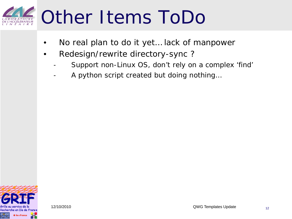#### Other Items ToDo *RATOIRE*<br>CÉLÉRATEUR

- No real plan to do it yet... lack of manpower
- Redesign/rewrite directory-sync ?
	- Support non-Linux OS, don't rely on a complex 'find'
	- A python script created but doing nothing...

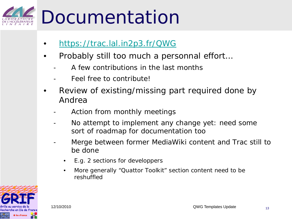### Documentation

- <https://trac.lal.in2p3.fr/QWG>
- Probably still too much a personnal effort…
	- A few contributions in the last months
	- Feel free to contribute!
- Review of existing/missing part required done by Andrea
	- Action from monthly meetings
	- No attempt to implement any change yet: need some sort of roadmap for documentation too
	- Merge between former MediaWiki content and Trac still to be done
		- E.g. 2 sections for developpers
		- More generally "Quattor Toolkit" section content need to be reshuffled

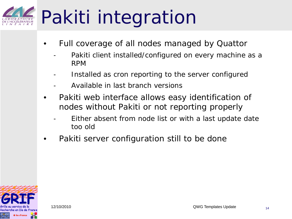## Pakiti integration

- Full coverage of all nodes managed by Quattor
	- Pakiti client installed/configured on every machine as a RPM
	- Installed as cron reporting to the server configured
	- Available in last branch versions
- Pakiti web interface allows easy identification of nodes without Pakiti or not reporting properly
	- Either absent from node list or with a last update date too old
- Pakiti server configuration still to be done

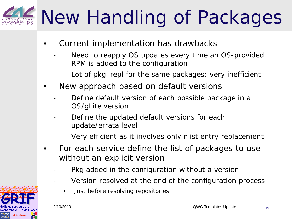# New Handling of Packages

- Current implementation has drawbacks
	- Need to reapply OS updates every time an OS-provided RPM is added to the configuration
	- Lot of pkg\_repl for the same packages: very inefficient
- New approach based on default versions
	- Define default version of each possible package in a OS/gLite version
	- Define the updated default versions for each update/errata level
	- Very efficient as it involves only nlist entry replacement
- For each service define the list of packages to use without an explicit version
	- Pkg added in the configuration without a version
	- Version resolved at the end of the configuration process
		- Just before resolving repositories

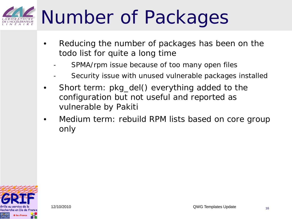### Number of Packages

- Reducing the number of packages has been on the todo list for quite a long time
	- SPMA/rpm issue because of too many open files
	- Security issue with unused vulnerable packages installed
- Short term: pkg\_del() everything added to the configuration but not useful and reported as vulnerable by Pakiti
- Medium term: rebuild RPM lists based on core group only

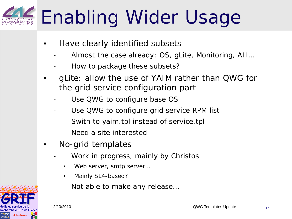## Enabling Wider Usage

- Have clearly identified subsets
	- Almost the case already: OS, gLite, Monitoring, AII...
	- How to package these subsets?
- gLite: allow the use of YAIM rather than QWG for the grid service configuration part
	- Use QWG to configure base OS
	- Use QWG to configure grid service RPM list
	- Swith to yaim.tpl instead of service.tpl
	- Need a site interested
- No-grid templates
	- Work in progress, mainly by Christos
		- Web server, smtp server...
		- Mainly SL4-based?
	- Not able to make any release...

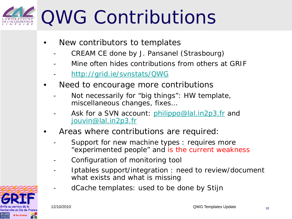### QWG Contributions

- New contributors to templates
	- CREAM CE done by J. Pansanel (Strasbourg)
	- Mine often hides contributions from others at GRIF
	- <http://grid.ie/svnstats/QWG>
- Need to encourage more contributions
	- Not necessarily for "big things": HW template, miscellaneous changes, fixes…
	- Ask for a SVN account: [philippo@lal.in2p3.fr](mailto:philippo@lal.in2p3.fr) and [jouvin@lal.in2p3.fr](mailto:jouvin@lal.in2p3.fr)
- Areas where contributions are required:
	- Support for new machine types : requires more "experimented people" and is the current weakness
	- Configuration of monitoring tool
	- Iptables support/integration : need to review/document what exists and what is missing
	- dCache templates: used to be done by Stijn

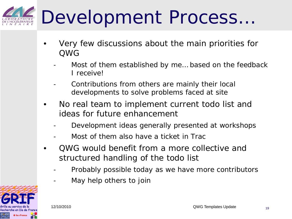### Development Process…

- Very few discussions about the main priorities for QWG
	- Most of them established by me... based on the feedback I receive!
	- Contributions from others are mainly their local developments to solve problems faced at site
- No real team to implement current todo list and ideas for future enhancement
	- Development ideas generally presented at workshops
	- Most of them also have a ticket in Trac
- QWG would benefit from a more collective and structured handling of the todo list
	- Probably possible today as we have more contributors
	- May help others to join

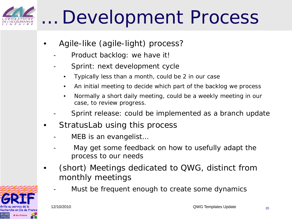### … Development Process

- Agile-like (agile-light) process?
	- Product backlog: we have it!
	- Sprint: next development cycle
		- Typically less than a month, could be 2 in our case
		- An initial meeting to decide which part of the backlog we process
		- Normally a short daily meeting, could be a weekly meeting in our case, to review progress.
	- Sprint release: could be implemented as a branch update
- StratusLab using this process
	- MEB is an evangelist...
	- May get some feedback on how to usefully adapt the process to our needs
- (short) Meetings dedicated to QWG, distinct from monthly meetings
	- Must be frequent enough to create some dynamics